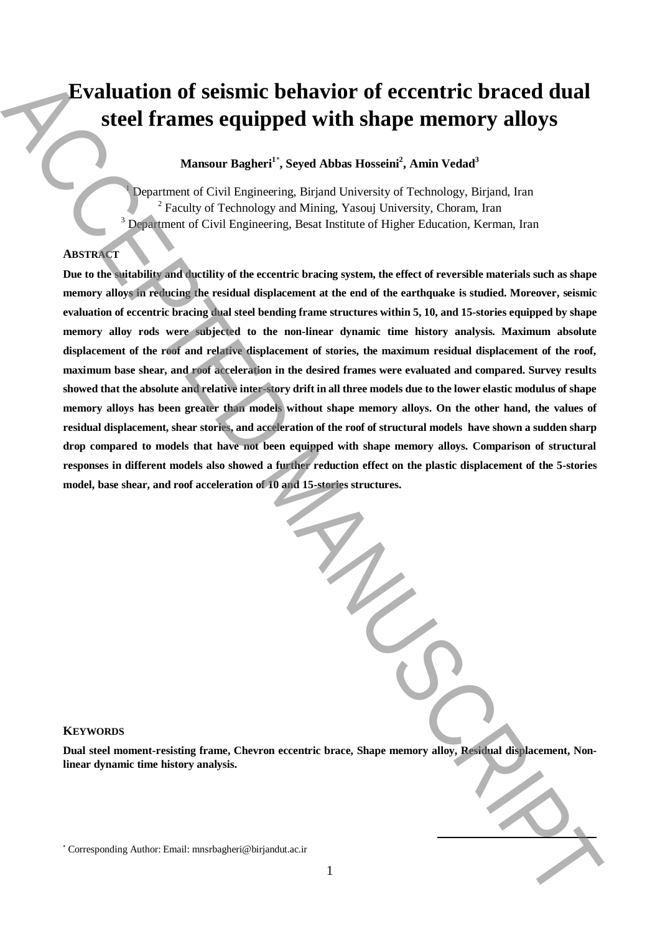# **Evaluation of seismic behavior of eccentric braced dual steel frames equipped with shape memory alloys**

**Mansour Bagheri<sup>1</sup>**\* **, Seyed Abbas Hosseini<sup>2</sup> , Amin Vedad<sup>3</sup>**

<sup>1</sup> Department of Civil Engineering, Birjand University of Technology, Birjand, Iran <sup>2</sup> Faculty of Technology and Mining, Yasouj University, Choram, Iran <sup>3</sup> Department of Civil Engineering, Besat Institute of Higher Education, Kerman, Iran

# **ABSTRACT**

**Due to the suitability and ductility of the eccentric bracing system, the effect of reversible materials such as shape memory alloys in reducing the residual displacement at the end of the earthquake is studied. Moreover, seismic evaluation of eccentric bracing dual steel bending frame structures within 5, 10, and 15-stories equipped by shape memory alloy rods were subjected to the non-linear dynamic time history analysis. Maximum absolute displacement of the roof and relative displacement of stories, the maximum residual displacement of the roof, maximum base shear, and roof acceleration in the desired frames were evaluated and compared. Survey results showed that the absolute and relative inter-story drift in all three models due to the lower elastic modulus of shape memory alloys has been greater than models without shape memory alloys. On the other hand, the values of residual displacement, shear stories, and acceleration of the roof of structural models have shown a sudden sharp drop compared to models that have not been equipped with shape memory alloys. Comparison of structural responses in different models also showed a further reduction effect on the plastic displacement of the 5-stories model, base shear, and roof acceleration of 10 and 15-stories structures. Exaluation of seismic behavior of eccentric braced dual steel frames equipped with shape memory alloys**<br>
Manuscratic System Ahmerican in the corresponding Authorities and the second interaction of the material activities

# **KEYWORDS**

**Dual steel moment-resisting frame, Chevron eccentric brace, Shape memory alloy, Residual displacement, Nonlinear dynamic time history analysis.**

**.**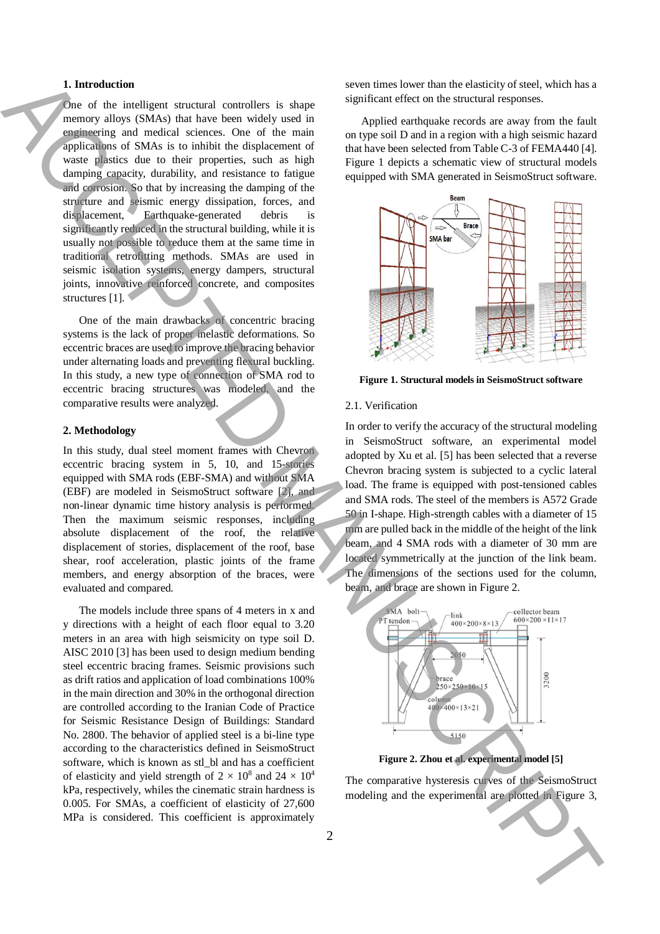## **1. Introduction**

One of the intelligent structural controllers is shape memory alloys (SMAs) that have been widely used in engineering and medical sciences. One of the main applications of SMAs is to inhibit the displacement of waste plastics due to their properties, such as high damping capacity, durability, and resistance to fatigue and corrosion. So that by increasing the damping of the structure and seismic energy dissipation, forces, and displacement, Earthquake-generated debris is significantly reduced in the structural building, while it is usually not possible to reduce them at the same time in traditional retrofitting methods. SMAs are used in seismic isolation systems, energy dampers, structural joints, innovative reinforced concrete, and composites structures [1].

One of the main drawbacks of concentric bracing systems is the lack of proper inelastic deformations. So eccentric braces are used to improve the bracing behavior under alternating loads and preventing flexural buckling. In this study, a new type of connection of SMA rod to eccentric bracing structures was modeled, and the comparative results were analyzed.

# **2. Methodology**

In this study, dual steel moment frames with Chevron eccentric bracing system in 5, 10, and 15-stories equipped with SMA rods (EBF-SMA) and without SMA (EBF) are modeled in SeismoStruct software [2], and non-linear dynamic time history analysis is performed. Then the maximum seismic responses, including absolute displacement of the roof, the relative displacement of stories, displacement of the roof, base shear, roof acceleration, plastic joints of the frame members, and energy absorption of the braces, were evaluated and compared.

The models include three spans of 4 meters in x and y directions with a height of each floor equal to 3.20 meters in an area with high seismicity on type soil D. AISC 2010 [3] has been used to design medium bending steel eccentric bracing frames. Seismic provisions such as drift ratios and application of load combinations 100% in the main direction and 30% in the orthogonal direction are controlled according to the Iranian Code of Practice for Seismic Resistance Design of Buildings: Standard No. 2800. The behavior of applied steel is a bi-line type according to the characteristics defined in SeismoStruct software, which is known as stl\_bl and has a coefficient of elasticity and yield strength of  $2 \times 10^8$  and  $24 \times 10^4$ kPa, respectively, whiles the cinematic strain hardness is 0.005. For SMAs, a coefficient of elasticity of 27,600 MPa is considered. This coefficient is approximately **1.** but of a matter in consistent in the experimental are experimental and the experimental are experimental and the experimental are experimental and the experimental are experimental and the experimental are experiment

seven times lower than the elasticity of steel, which has a significant effect on the structural responses.

Applied earthquake records are away from the fault on type soil D and in a region with a high seismic hazard that have been selected from Table C-3 of FEMA440 [4]. Figure 1 depicts a schematic view of structural models equipped with SMA generated in SeismoStruct software.



**Figure 1. Structural models in SeismoStruct software**

### 2.1. Verification

In order to verify the accuracy of the structural modeling in SeismoStruct software, an experimental model adopted by Xu et al. [5] has been selected that a reverse Chevron bracing system is subjected to a cyclic lateral load. The frame is equipped with post-tensioned cables and SMA rods. The steel of the members is A572 Grade 50 in I-shape. High-strength cables with a diameter of 15 mm are pulled back in the middle of the height of the link beam, and 4 SMA rods with a diameter of 30 mm are located symmetrically at the junction of the link beam. The dimensions of the sections used for the column, beam, and brace are shown in Figure 2.



**Figure 2. Zhou et al. experimental model [5]**

The comparative hysteresis curves of the SeismoStruct